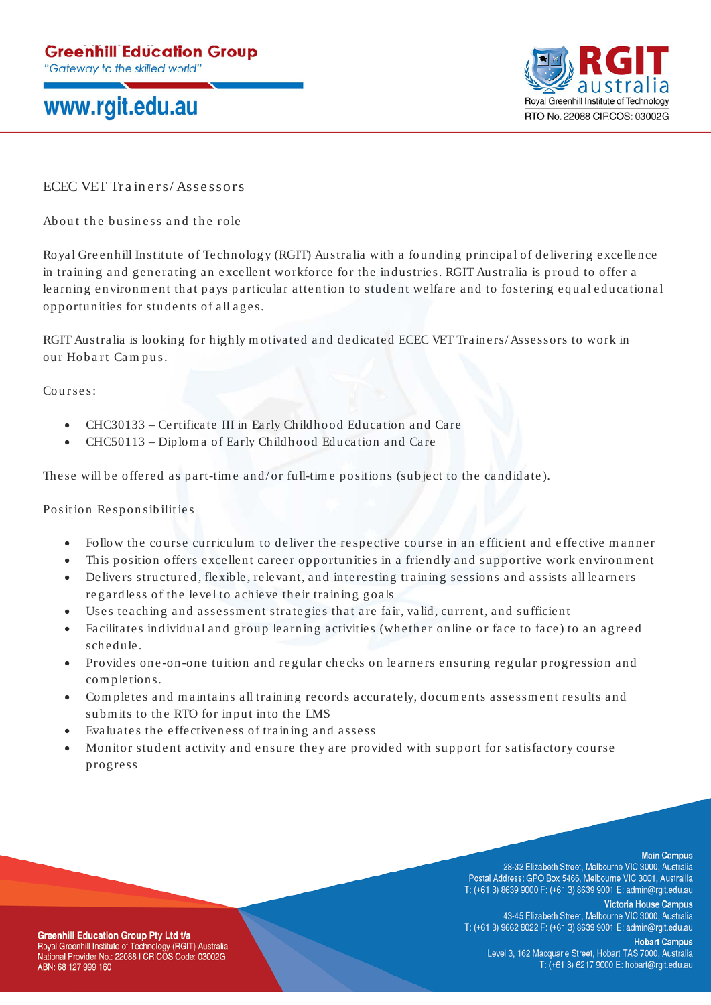## www.rgit.edu.au



ECEC VET Trainers/Assessors

About the business and the role

Royal Greenhill Institute of Technology (RGIT) Australia with a founding principal of delivering excellence in training and generating an excellent workforce for the industries. RGIT Australia is proud to offer a learning environment that pays particular attention to student welfare and to fostering equal educational opportunities for students of all ages.

RGIT Australia is looking for highly m otivated and dedicated ECEC VET Trainers/ Assessors to work in our Hobart Campus.

Courses:

- CHC30133 Certificate III in Early Childhood Education and Care
- CHC50113 Diplom a of Early Childhood Education and Care

These will be offered as part-time and/or full-time positions (subject to the candidate).

Position Responsibilities

- Follow the course curriculum to deliver the respective course in an efficient and effective manner
- This position offers excellent career opportunities in a friendly and supportive work environment
- Delivers structured, flexible, relevant, and interesting training sessions and assists all learners regardless of the level to achieve their training goals
- Uses teaching and assessment strategies that are fair, valid, current, and sufficient
- Facilitates individual and group learning activities (whether online or face to face) to an agreed schedule.
- Provides one -on-one tuition and regular checks on learners ensuring re gular progression and com pletions.
- Com pletes and m aintains all training records accurately, docum ents assessm ent results and subm its to the RTO for input into the LMS
- Evaluates the effectiveness of training and assess
- Monitor student activity and ensure they are provided with support for satisfactory course progress

## **Main Campus**

28-32 Elizabeth Street, Melbourne VIC 3000, Australia Postal Address: GPO Box 5466, Melbourne VIC 3001, Australlia T: (+61 3) 8639 9000 F: (+61 3) 8639 9001 E: admin@rgit.edu.au

**Victoria House Campus** 43-45 Elizabeth Street, Melbourne VIC 3000, Australia T: (+61 3) 9662 8022 F: (+61 3) 8639 9001 E: admin@rgit.edu.au

**Hobart Campus** Level 3, 162 Macquarie Street, Hobart TAS 7000, Australia T: (+61 3) 6217 9000 E: hobart@rgit.edu.au

**Greenhill Education Group Pty Ltd t/a** Royal Greenhill Institute of Technology (RGIT) Australia National Provider No.: 22088 I CRICOS Code: 03002G ABN: 68 127 999 160